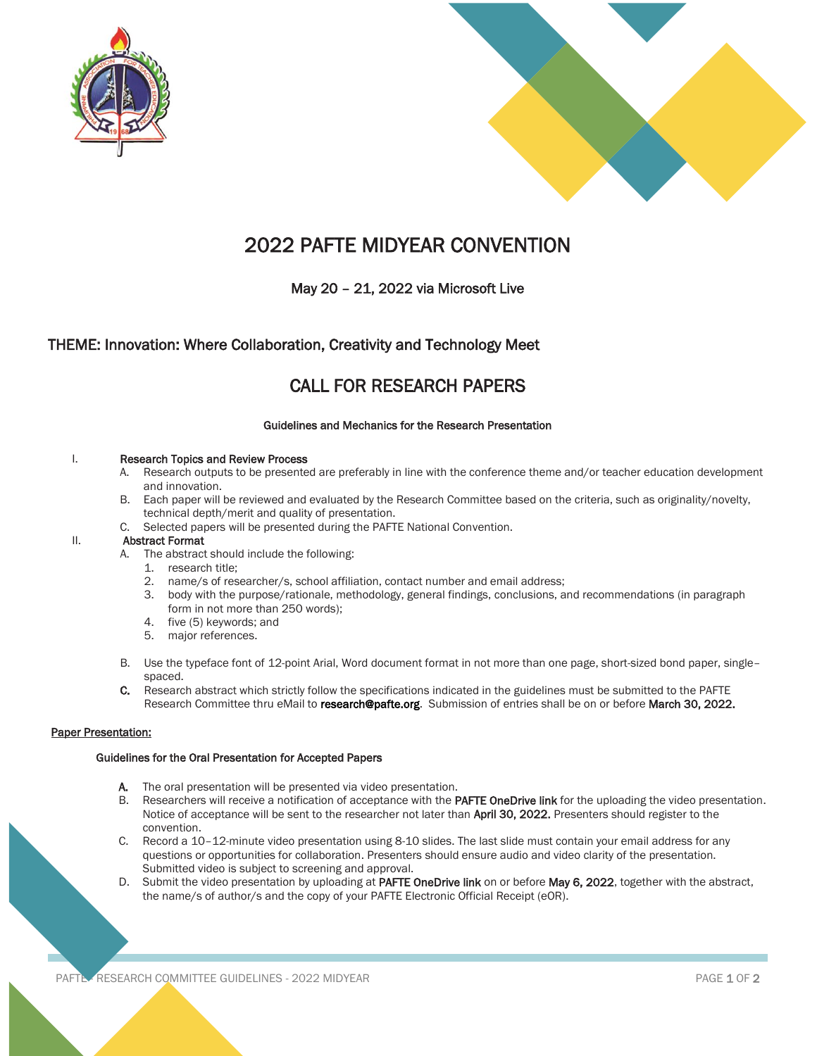



# 2022 PAFTE MIDYEAR CONVENTION

## May 20 – 21, 2022 via Microsoft Live

### THEME: Innovation: Where Collaboration, Creativity and Technology Meet

## CALL FOR RESEARCH PAPERS

#### Guidelines and Mechanics for the Research Presentation

#### I. Research Topics and Review Process

- A. Research outputs to be presented are preferably in line with the conference theme and/or teacher education development and innovation.
- B. Each paper will be reviewed and evaluated by the Research Committee based on the criteria, such as originality/novelty, technical depth/merit and quality of presentation.
- C. Selected papers will be presented during the PAFTE National Convention.

#### II. Abstract Format

- A. The abstract should include the following:
	- 1. research title;
	- 2. name/s of researcher/s, school affiliation, contact number and email address;
	- 3. body with the purpose/rationale, methodology, general findings, conclusions, and recommendations (in paragraph form in not more than 250 words);
	- 4. five (5) keywords; and
	- 5. major references.
- B. Use the typeface font of 12-point Arial, Word document format in not more than one page, short-sized bond paper, single– spaced.
- C. Research abstract which strictly follow the specifications indicated in the guidelines must be submitted to the PAFTE Research Committee thru eMail to research@pafte.org. Submission of entries shall be on or before March 30, 2022.

#### Paper Presentation:

#### Guidelines for the Oral Presentation for Accepted Papers

- A. The oral presentation will be presented via video presentation.
- B. Researchers will receive a notification of acceptance with the PAFTE OneDrive link for the uploading the video presentation. Notice of acceptance will be sent to the researcher not later than April 30, 2022. Presenters should register to the convention.
- C. Record a 10–12-minute video presentation using 8-10 slides. The last slide must contain your email address for any questions or opportunities for collaboration. Presenters should ensure audio and video clarity of the presentation. Submitted video is subject to screening and approval.
- D. Submit the video presentation by uploading at PAFTE OneDrive link on or before May 6, 2022, together with the abstract, the name/s of author/s and the copy of your PAFTE Electronic Official Receipt (eOR).

PAFTE RESEARCH COMMITTEE GUIDELINES - 2022 MIDYEAR PAGE 1 OF 2